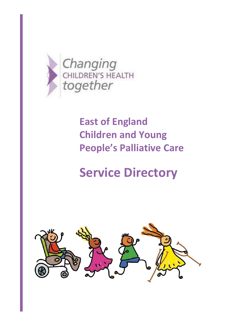

# **East of England Children and Young People's Palliative Care**

# **Service Directory**

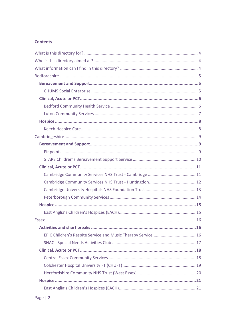# **Contents**

| EPIC Children's Respite Service and Music Therapy Service  16 |  |
|---------------------------------------------------------------|--|
|                                                               |  |
|                                                               |  |
|                                                               |  |
|                                                               |  |
|                                                               |  |
|                                                               |  |
|                                                               |  |
|                                                               |  |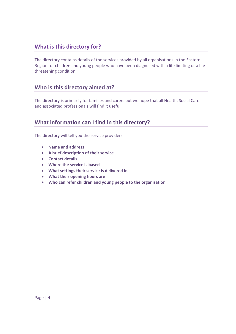# **What is this directory for?**

The directory contains details of the services provided by all organisations in the Eastern Region for children and young people who have been diagnosed with a life limiting or a life threatening condition.

# **Who is this directory aimed at?**

The directory is primarily for families and carers but we hope that all Health, Social Care and associated professionals will find it useful.

# **What information can I find in this directory?**

The directory will tell you the service providers

- **Name and address**
- **A brief description of their service**
- **Contact details**
- **Where the service is based**
- **What settings their service is delivered in**
- **What their opening hours are**
- **Who can refer children and young people to the organisation**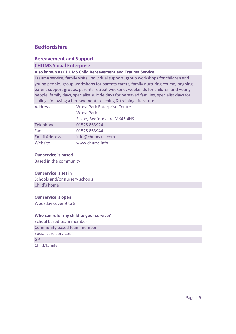# **Bedfordshire**

# **Bereavement and Support CHUMS Social Enterprise**

## **Also known as CHUMS Child Bereavement and Trauma Service**

Trauma service, family visits, individual support, group workshops for children and young people, group workshops for parents carers, family nurturing course, ongoing parent support groups, parents retreat weekend, weekends for children and young people, family days, specialist suicide days for bereaved families, specialist days for siblings following a bereavement, teaching & training, literature

| <b>Address</b>       | <b>Wrest Park Enterprise Centre</b> |
|----------------------|-------------------------------------|
|                      | <b>Wrest Park</b>                   |
|                      | Silsoe, Bedfordshire MK45 4HS       |
| Telephone            | 01525 863924                        |
| Fax                  | 01525 863944                        |
| <b>Email Address</b> | info@chums.uk.com                   |
| Website              | www.chums.info                      |

#### **Our service is based**

Based in the community

#### **Our service is set in**

Schools and/or nursery schools Child's home

## **Our service is open**

Weekday cover 9 to 5

# **Who can refer my child to your service?**

School based team member Community based team member Social care services GP Child/family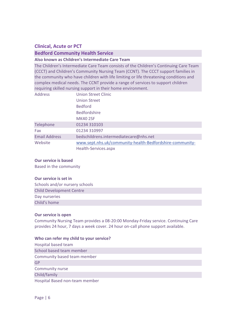# **Clinical, Acute or PCT**

# **Bedford Community Health Service**

#### **Also known as Children's Intermediate Care Team**

The Children's Intermediate Care Team consists of the Children's Continuing Care Team (CCCT) and Children's Community Nursing Team (CCNT). The CCCT support families in the community who have children with life limiting or life threatening conditions and complex medical needs. The CCNT provide a range of services to support children requiring skilled nursing support in their home environment.

| <b>Address</b>       | Union Street Clinic                                      |
|----------------------|----------------------------------------------------------|
|                      | <b>Union Street</b>                                      |
|                      | <b>Bedford</b>                                           |
|                      | <b>Bedfordshire</b>                                      |
|                      | <b>MK40 2SF</b>                                          |
| Telephone            | 01234 310103                                             |
| Fax                  | 01234 310997                                             |
| <b>Email Address</b> | bedschildrens.intermediatecare@nhs.net                   |
| Website              | www.sept.nhs.uk/community-health-Bedfordshire-community- |
|                      | Health-Services.aspx                                     |

#### **Our service is based**

Based in the community

#### **Our service is set in**

Schools and/or nursery schools Child Development Centre Day nurseries Child's home

#### **Our service is open**

Community Nursing Team provides a 08-20:00 Monday-Friday service. Continuing Care provides 24 hour, 7 days a week cover. 24 hour on-call phone support available.

#### **Who can refer my child to your service?**

Hospital based team School based team member Community based team member GP Community nurse Child/family Hospital Based non-team member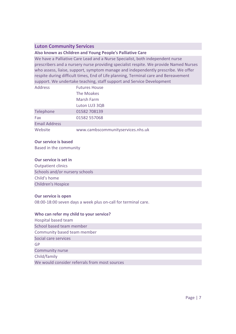# **Luton Community Services**

## **Also known as Children and Young People's Palliative Care**

We have a Palliative Care Lead and a Nurse Specialist, both independent nurse prescribers and a nursery nurse providing specialist respite. We provide Named Nurses who assess, liaise, support, symptom manage and independently prescribe. We offer respite during difficult times, End of Life planning, Terminal care and Bereavement support. We undertake teaching, staff support and Service Development

| <b>Address</b>       | <b>Futures House</b>              |
|----------------------|-----------------------------------|
|                      | The Moakes                        |
|                      | <b>Marsh Farm</b>                 |
|                      | Luton LU3 3QB                     |
| Telephone            | 01582 708139                      |
| Fax                  | 01582 557068                      |
| <b>Email Address</b> |                                   |
| Website              | www.cambscommunityservices.nhs.uk |

#### **Our service is based**

Based in the community

## **Our service is set in**

Outpatient clinics Schools and/or nursery schools Child's home Children's Hospice

# **Our service is open**

08:00-18:00 seven days a week plus on-call for terminal care.

| Hospital based team                           |  |
|-----------------------------------------------|--|
| School based team member                      |  |
| Community based team member                   |  |
| Social care services                          |  |
| GP                                            |  |
| Community nurse                               |  |
| Child/family                                  |  |
| We would consider referrals from most sources |  |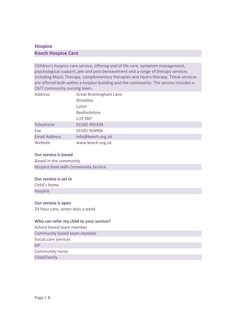# **Hospice Keech Hospice Care**

Children's hospice care service, offering end of life care, symptom management, psychological support, pre and post bereavement and a range of therapy services including Music Therapy, complementary therapies and Hydro therapy. These services are offered both within a hospice building and the community. The service includes a 24/7 community nursing team.

| <b>Address</b>       | <b>Great Bramingham Lane</b> |
|----------------------|------------------------------|
|                      | <b>Streatley</b>             |
|                      | Luton                        |
|                      | <b>Bedfordshire</b>          |
|                      | LU3 3NT                      |
| Telephone            | 01582 492339                 |
| Fax                  | 01582 564906                 |
| <b>Email Address</b> | Info@keech.org.uk            |
| Website              | www.keech.org.uk             |

## **Our service is based**

Based in the community Hospice base with Community Service

# **Our service is set in**

Child's home Hospice

# **Our service is open**

24 hour care, seven days a week

| School based team member    |  |
|-----------------------------|--|
| Community based team member |  |
| Social care services        |  |
| GP                          |  |
| Community nurse             |  |
| Child/family                |  |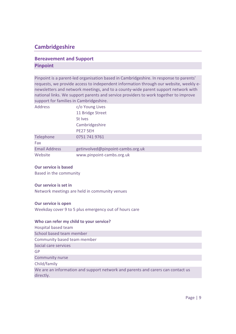# **Cambridgeshire**

# **Bereavement and Support Pinpoint**

Pinpoint is a parent-led organisation based in Cambridgeshire. In response to parents' requests, we provide access to independent information through our website, weekly enewsletters and network meetings, and to a county-wide parent support network with national links. We support parents and service providers to work together to improve support for families in Cambridgeshire.

| <b>Address</b>       | c/o Young Lives                   |
|----------------------|-----------------------------------|
|                      | 11 Bridge Street                  |
|                      | St Ives                           |
|                      | Cambridgeshire                    |
|                      | <b>PE27 5EH</b>                   |
| Telephone            | 0751 741 9761                     |
| Fax                  |                                   |
| <b>Email Address</b> | getinvolved@pinpoint-cambs.org.uk |
| Website              | www.pinpoint-cambs.org.uk         |

# **Our service is based**

Based in the community

# **Our service is set in**

Network meetings are held in community venues

#### **Our service is open**

Weekday cover 9 to 5 plus emergency out of hours care

| Hospital based team                                                                          |
|----------------------------------------------------------------------------------------------|
| School based team member                                                                     |
| Community based team member                                                                  |
| Social care services                                                                         |
| GP                                                                                           |
| <b>Community nurse</b>                                                                       |
| Child/family                                                                                 |
| We are an information and support network and parents and carers can contact us<br>directly. |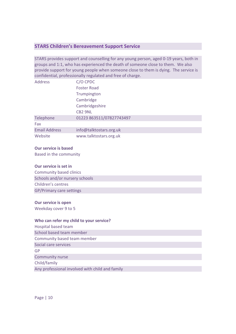# **STARS Children's Bereavement Support Service**

STARS provides support and counselling for any young person, aged 0-19 years, both in groups and 1:1, who has experienced the death of someone close to them. We also provide support for young people when someone close to them is dying. The service is confidential, professionally regulated and free of charge.

| <b>Address</b>       | C/O CPDC                 |
|----------------------|--------------------------|
|                      | <b>Foster Road</b>       |
|                      | Trumpington              |
|                      | Cambridge                |
|                      | Cambridgeshire           |
|                      | <b>CB2 9NL</b>           |
| Telephone            | 01223 863511/07827743497 |
| Fax                  |                          |
| <b>Email Address</b> | info@talktostars.org.uk  |
| Website              | www.talktostars.org.uk   |

#### **Our service is based**

Based in the community

#### **Our service is set in**

Community based clinics Schools and/or nursery schools Children's centres GP/Primary care settings

#### **Our service is open**

Weekday cover 9 to 5

#### **Who can refer my child to your service?**

Hospital based team School based team member Community based team member Social care services GP Community nurse Child/family Any professional involved with child and family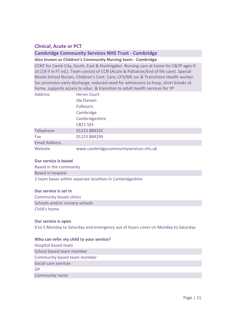# **Clinical, Acute or PCT**

# **Cambridge Community Services NHS Trust - Cambridge**

#### **Also known as Children's Community Nursing team - Cambridge**

CCNT for Camb City, South, East & Huntingdon. Nursing care at home for C&YP ages 0- 16 (19 if in FT ed.). Team consist of CCN (Acute & Palliative/End of life care). Special Needs School Nurses, Children's Cont. Care, CFS/ME svc & Transitions Health worker. Svc promotes early discharge, reduced need for admissions to hosp, short breaks at home, supports access to educ. & transition to adult health services for YP

| <b>Address</b>       | <b>Heron Court</b>                    |
|----------------------|---------------------------------------|
|                      | <b>Ida Darwin</b>                     |
|                      | <b>Fulbourn</b>                       |
|                      | Cambridge                             |
|                      | Cambridgeshire                        |
|                      | <b>CB21 5EE</b>                       |
| Telephone            | 01223 884335                          |
| Fax                  | 01223 884299                          |
| <b>Email Address</b> |                                       |
| Website              | www.cambridgecommunityservices.nhs.uk |

#### **Our service is based**

Based in the community Based in hospital 2 team bases within separate localities in Cambridgeshire

#### **Our service is set in**

Community based clinics Schools and/or nursery schools Child's home

#### **Our service is open**

9 to 5 Monday to Saturday and emergency out of hours cover on Monday to Saturday

#### **Who can refer my child to your service?**

Hospital based team School based team member Community based team member Social care services GP Community nurse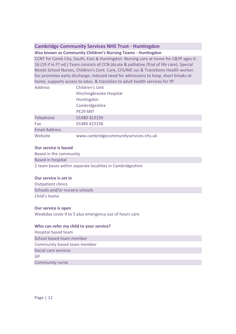# **Cambridge Community Services NHS Trust - Huntingdon**

# **Also known as Community Children's Nursing Teams - Huntingdon**

CCNT for Camb City, South, East & Huntingdon. Nursing care at home for C&YP ages 0- 16 (19 if in FT ed.) Team consists of CCN (Acute & palliative /End of life care). Special Needs School Nurses, Children's Cont. Care, CFS/ME svc & Transitions Health worker. Svc promotes early discharge, reduced need for admissions to hosp, short breaks at home, supports access to educ. & transition to adult health services for YP

| <b>Address</b>       | <b>Children's Unit</b>                |
|----------------------|---------------------------------------|
|                      | Hinchingbrooke Hospital               |
|                      | Huntingdon                            |
|                      | Cambridgeshire                        |
|                      | <b>PE29 6NT</b>                       |
| Telephone            | 01480 423159                          |
| Fax                  | 01480 423158                          |
| <b>Email Address</b> |                                       |
| Website              | www.cambridgecommunityservices.nhs.uk |

## **Our service is based**

Based in the community Based in hospital 2 team bases within separate localities in Cambridgeshire

# **Our service is set in**

Outpatient clinics Schools and/or nursery schools Child's home

#### **Our service is open**

Weekday cover 9 to 5 plus emergency out of hours care

#### **Who can refer my child to your service?**

Hospital based team School based team member Community based team member Social care services GP Community nurse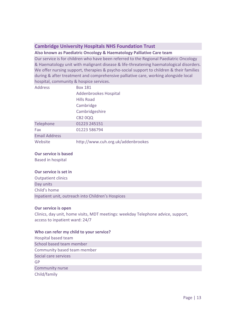# **Cambridge University Hospitals NHS Foundation Trust**

# **Also known as Paediatric Oncology & Haematology Palliative Care team**

Our service is for children who have been referred to the Regional Paediatric Oncology & Haematology unit with malignant disease & life-threatening haematological disorders. We offer nursing support, therapies & psycho-social support to children & their families during & after treatment and comprehensive palliative care, working alongside local hospital, community & hospice services.

| <b>Box 181</b>                     |
|------------------------------------|
| Addenbrookes Hospital              |
| <b>Hills Road</b>                  |
| Cambridge                          |
| Cambridgeshire                     |
| <b>CB2 0QQ</b>                     |
| 01223 245151                       |
| 01223 586794                       |
|                                    |
| http://www.cuh.org.uk/addenbrookes |
|                                    |

## **Our service is based**

Based in hospital

# **Our service is set in**

| <b>Outpatient clinics</b>                         |
|---------------------------------------------------|
| Day units                                         |
| Child's home                                      |
| Inpatient unit, outreach into Children's Hospices |

# **Our service is open**

Clinics, day unit, home visits, MDT meetings: weekday Telephone advice, support, access to inpatient ward: 24/7

# **Who can refer my child to your service?**

Hospital based team School based team member Community based team member Social care services GP Community nurse Child/family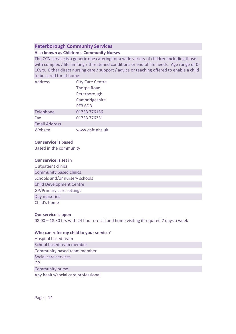# **Peterborough Community Services**

## **Also known as Children's Community Nurses**

The CCN service is a generic one catering for a wide variety of children including those with complex / life limiting / threatened conditions or end of life needs. Age range of 0-16yrs. Either direct nursing care / support / advice or teaching offered to enable a child to be cared for at home.

| <b>Address</b>       | <b>City Care Centre</b> |  |  |
|----------------------|-------------------------|--|--|
|                      | <b>Thorpe Road</b>      |  |  |
|                      | Peterborough            |  |  |
|                      | Cambridgeshire          |  |  |
|                      | PE3 6DB                 |  |  |
| Telephone            | 01733 776156            |  |  |
| Fax                  | 01733 776351            |  |  |
| <b>Email Address</b> |                         |  |  |
| Website              | www.cpft.nhs.uk         |  |  |

#### **Our service is based**

Based in the community

## **Our service is set in**

| <b>Outpatient clinics</b>       |
|---------------------------------|
| <b>Community based clinics</b>  |
| Schools and/or nursery schools  |
| <b>Child Development Centre</b> |
| <b>GP/Primary care settings</b> |
| Day nurseries                   |
| Child's home                    |

# **Our service is open**

08.00 – 18.30 hrs with 24 hour on-call and home visiting if required 7 days a week

#### **Who can refer my child to your service?**

Hospital based team School based team member Community based team member Social care services GP Community nurse

Any health/social care professional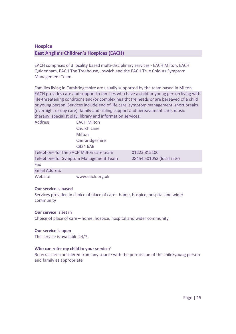# **Hospice East Anglia's Children's Hospices (EACH)**

EACH comprises of 3 locality based multi-disciplinary services - EACH Milton, EACH Quidenham, EACH The Treehouse, Ipswich and the EACH True Colours Symptom Management Team.

Families living in Cambridgeshire are usually supported by the team based in Milton. EACH provides care and support to families who have a child or young person living with life-threatening conditions and/or complex healthcare needs or are bereaved of a child or young person. Services include end of life care, symptom management, short breaks (overnight or day care), family and sibling support and bereavement care, music therapy, specialist play, library and information services.

| <b>Address</b>                          | <b>EACH Milton</b> |                           |
|-----------------------------------------|--------------------|---------------------------|
|                                         | Church Lane        |                           |
|                                         | Milton             |                           |
|                                         | Cambridgeshire     |                           |
|                                         | <b>CB24 6AB</b>    |                           |
| Telephone for the EACH Milton care team |                    | 01223 815100              |
| Telephone for Symptom Management Team   |                    | 08454 501053 (local rate) |
| Fax                                     |                    |                           |
| <b>Email Address</b>                    |                    |                           |
| Website                                 | www.each.org.uk    |                           |

# **Our service is based**

Services provided in choice of place of care - home, hospice, hospital and wider community

# **Our service is set in**

Choice of place of care – home, hospice, hospital and wider community

#### **Our service is open**

The service is available 24/7.

# **Who can refer my child to your service?**

Referrals are considered from any source with the permission of the child/young person and family as appropriate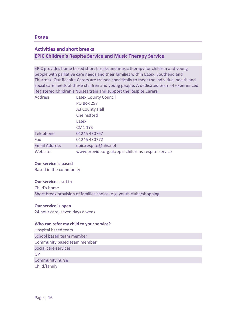# **Essex**

# **Activities and short breaks EPIC Children's Respite Service and Music Therapy Service**

EPIC provides home based short breaks and music therapy for children and young people with palliative care needs and their families within Essex, Southend and Thurrock. Our Respite Carers are trained specifically to meet the individual health and social care needs of these children and young people. A dedicated team of experienced Registered Children's Nurses train and support the Respite Carers.

| <b>Address</b>       | <b>Essex County Council</b>                       |
|----------------------|---------------------------------------------------|
|                      | <b>PO Box 297</b>                                 |
|                      | A3 County Hall                                    |
|                      | Chelmsford                                        |
|                      | <b>Essex</b>                                      |
|                      | CM <sub>1</sub> 1YS                               |
| Telephone            | 01245 430767                                      |
| Fax                  | 01245 430772                                      |
| <b>Email Address</b> | epic.respite@nhs.net                              |
| Website              | www.provide.org.uk/epic-childrens-respite-service |

#### **Our service is based**

Based in the community

#### **Our service is set in**

Child's home Short break provision of families choice, e.g. youth clubs/shopping

#### **Our service is open**

24 hour care, seven days a week

#### **Who can refer my child to your service?**

Hospital based team School based team member Community based team member Social care services GP Community nurse Child/family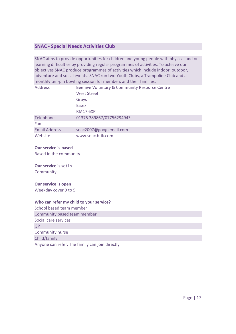# **SNAC - Special Needs Activities Club**

SNAC aims to provide opportunities for children and young people with physical and or learning difficulties by providing regular programmes of activities. To achieve our objectives SNAC produce programmes of activities which include indoor, outdoor, adventure and social events. SNAC run two Youth Clubs, a Trampoline Club and a monthly ten-pin bowling session for members and their families.

| <b>Address</b>       | Beehive Voluntary & Community Resource Centre |
|----------------------|-----------------------------------------------|
|                      | <b>West Street</b>                            |
|                      | Grays                                         |
|                      | <b>Essex</b>                                  |
|                      | <b>RM17 6XP</b>                               |
| Telephone            | 01375 389867/07756294943                      |
| Fax                  |                                               |
| <b>Email Address</b> | snac2007@googlemail.com                       |
| Website              | www.snac.btik.com                             |

#### **Our service is based**

Based in the community

#### **Our service is set in**

Community

#### **Our service is open**

Weekday cover 9 to 5

## **Who can refer my child to your service?**

School based team member Community based team member Social care services GP Community nurse Child/family Anyone can refer. The family can join directly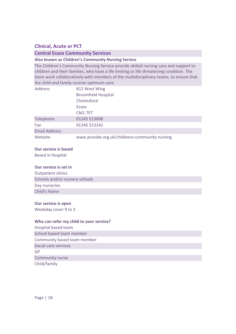# **Clinical, Acute or PCT**

# **Central Essex Community Services**

## **Also known as Children's Community Nursing Service**

The Children's Community Nursing Service provide skilled nursing care and support to children and their families, who have a life limiting or life threatening condition. The team work collaboratively with members of the multidisciplinary teams, to ensure that the child and family receive optimum care.

| <b>Address</b>       | <b>B12 West Wing</b>                           |
|----------------------|------------------------------------------------|
|                      | <b>Broomfield Hospital</b>                     |
|                      | Chelmsford                                     |
|                      | <b>Essex</b>                                   |
|                      | CM <sub>1</sub> 7ET                            |
| Telephone            | 01245 513008                                   |
| Fax                  | 01245 513142                                   |
| <b>Email Address</b> |                                                |
| Website              | www.provide.org.uk/childrens-community-nursing |

## **Our service is based**

Based in hospital

## **Our service is set in**

| <b>Outpatient clinics</b>      |
|--------------------------------|
| Schools and/or nursery schools |
| Day nurseries                  |
| Child's home                   |

#### **Our service is open**

Weekday cover 9 to 5

#### **Who can refer my child to your service?**

Hospital based team School based team member Community based team member Social care services GP Community nurse Child/family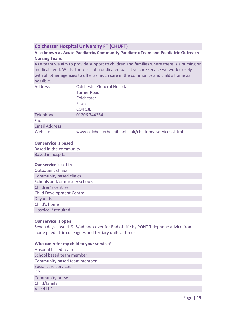# **Colchester Hospital University FT (CHUFT)**

# **Also known as Acute Paediatric, Community Paediatric Team and Paediatric Outreach Nursing Team.**

As a team we aim to provide support to children and families where there is a nursing or medical need. Whilst there is not a dedicated palliative care service we work closely with all other agencies to offer as much care in the community and child's home as possible.

| <b>Address</b>       | <b>Colchester General Hospital</b><br><b>Turner Road</b><br>Colchester<br><b>Essex</b><br>CO <sub>4</sub> 5JL |
|----------------------|---------------------------------------------------------------------------------------------------------------|
| Telephone            | 01206 744234                                                                                                  |
| Fax                  |                                                                                                               |
| <b>Email Address</b> |                                                                                                               |
| Website              | www.colchesterhospital.nhs.uk/childrens services.shtml                                                        |

## **Our service is based**

Based in the community Based in hospital

# **Our service is set in**

| <b>Outpatient clinics</b>       |
|---------------------------------|
| <b>Community based clinics</b>  |
| Schools and/or nursery schools  |
| Children's centres              |
| <b>Child Development Centre</b> |
| Day units                       |
| Child's home                    |
| Hospice if required             |

# **Our service is open**

Seven days a week 9–5/ad hoc cover for End of Life by PONT Telephone advice from acute paediatric colleagues and tertiary units at times.

| Hospital based team         |
|-----------------------------|
| School based team member    |
| Community based team member |
| Social care services        |
| GP                          |
| Community nurse             |
| Child/family                |
| Allied H.P.                 |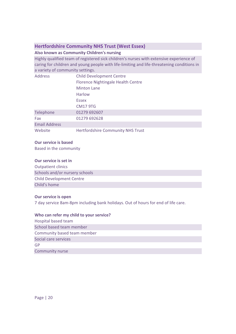# **Hertfordshire Community NHS Trust (West Essex)**

# **Also known as Community Children's nursing**

Highly qualified team of registered sick children's nurses with extensive experience of caring for children and young people with life-limiting and life-threatening conditions in a variety of community settings.

| <b>Address</b>       | <b>Child Development Centre</b>           |
|----------------------|-------------------------------------------|
|                      | <b>Florence Nightingale Health Centre</b> |
|                      | <b>Minton Lane</b>                        |
|                      | Harlow                                    |
|                      | <b>Essex</b>                              |
|                      | <b>CM17 9TG</b>                           |
| Telephone            | 01279 692607                              |
| Fax                  | 01279 692628                              |
| <b>Email Address</b> |                                           |
| Website              | <b>Hertfordshire Community NHS Trust</b>  |

#### **Our service is based**

Based in the community

## **Our service is set in**

Outpatient clinics Schools and/or nursery schools Child Development Centre Child's home

# **Our service is open**

7 day service 8am-8pm including bank holidays. Out of hours for end of life care.

| Hospital based team         |  |
|-----------------------------|--|
| School based team member    |  |
| Community based team member |  |
| Social care services        |  |
| GP                          |  |
| Community nurse             |  |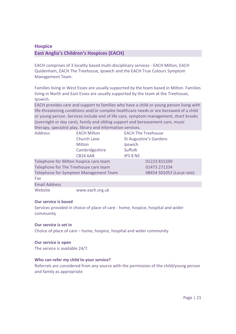# **Hospice East Anglia's Children's Hospices (EACH)**

EACH comprises of 3 locality based multi-disciplinary services - EACH Milton, EACH Quidenham, EACH The Treehouse, Ipswich and the EACH True Colours Symptom Management Team.

Families living in West Essex are usually supported by the team based in Milton. Families living in North and East Essex are usually supported by the team at the Treehouse, Ipswich.

EACH provides care and support to families who have a child or young person living with life-threatening conditions and/or complex healthcare needs or are bereaved of a child or young person. Services include end of life care, symptom management, short breaks (overnight or day care), family and sibling support and bereavement care, music therapy, specialist play, library and information services.

| <b>Address</b>                         | <b>EACH Milton</b> | <b>EACH The Treehouse</b>     |
|----------------------------------------|--------------------|-------------------------------|
|                                        | <b>Church Lane</b> | <b>St Augustine's Gardens</b> |
|                                        | <b>Milton</b>      | Ipswich                       |
|                                        | Cambridgeshire     | <b>Suffolk</b>                |
|                                        | <b>CB24 6AB</b>    | <b>IP3 8 NS</b>               |
| Telephone for Milton hospice care team |                    | 01223 815100                  |
| Telephone for The Treehouse care team  |                    | 01473 271334                  |
| Telephone for Symptom Management Team  |                    | 08454 501053 (Local rate)     |
| Fax                                    |                    |                               |
| <b>Email Address</b>                   |                    |                               |
| Website                                | www.each.org.uk    |                               |

#### **Our service is based**

Services provided in choice of place of care - home, hospice, hospital and wider community

# **Our service is set in**

Choice of place of care – home, hospice, hospital and wider community

# **Our service is open**

The service is available 24/7.

# **Who can refer my child to your service?**

Referrals are considered from any source with the permission of the child/young person and family as appropriate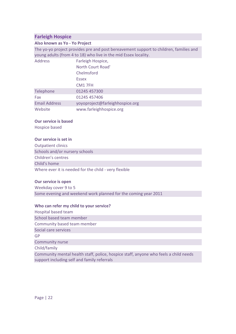# **Farleigh Hospice**

## **Also known as Yo - Yo Project**

The yo-yo project provides pre and post bereavement support to children, families and young adults (from 4 to 18) who live in the mid Essex locality.

| Address              | Farleigh Hospice,               |
|----------------------|---------------------------------|
|                      | North Court Road'               |
|                      | Chelmsford                      |
|                      | <b>Essex</b>                    |
|                      | CM <sub>1</sub> 7FH             |
| Telephone            | 01245 457300                    |
| Fax                  | 01245 457406                    |
| <b>Email Address</b> | yoyoproject@farleighhospice.org |
| Website              | www.farleighhospice.org         |

## **Our service is based**

Hospice based

## **Our service is set in**

Outpatient clinics Schools and/or nursery schools Children's centres Child's home Where ever it is needed for the child - very flexible

#### **Our service is open**

Weekday cover 9 to 5 Some evening and weekend work planned for the coming year 2011

#### **Who can refer my child to your service?**

| Hospital based team                                                                  |
|--------------------------------------------------------------------------------------|
| School based team member                                                             |
| Community based team member                                                          |
| Social care services                                                                 |
| GP                                                                                   |
| <b>Community nurse</b>                                                               |
| Child/family                                                                         |
| Community mental health staff, police, hospice staff, anyone who feels a child needs |

support including self and family referrals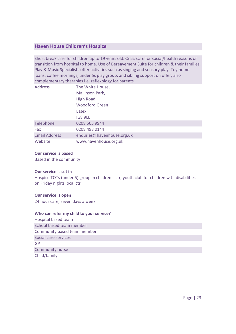# **Haven House Children's Hospice**

Short break care for children up to 19 years old. Crisis care for social/health reasons or transition from hospital to home. Use of Bereavement Suite for children & their families. Play & Music Specialists offer activities such as singing and sensory play. Toy home loans, coffee mornings, under 5s play group, and sibling support on offer; also complementary therapies i.e. reflexology for parents.

| <b>Address</b>       | The White House,           |
|----------------------|----------------------------|
|                      | Mallinson Park,            |
|                      | <b>High Road</b>           |
|                      | <b>Woodford Green</b>      |
|                      | <b>Essex</b>               |
|                      | IG8 9LB                    |
| Telephone            | 0208 505 9944              |
| Fax                  | 0208 498 0144              |
| <b>Email Address</b> | enquries@havenhouse.org.uk |
| Website              | www.havenhouse.org.uk      |

## **Our service is based**

Based in the community

# **Our service is set in**

Hospice TOTs (under 5) group in children's ctr, youth club for children with disabilities on Friday nights local ctr

# **Our service is open**

24 hour care, seven days a week

| Hospital based team         |  |
|-----------------------------|--|
| School based team member    |  |
| Community based team member |  |
| Social care services        |  |
| GP                          |  |
| Community nurse             |  |
| Child/family                |  |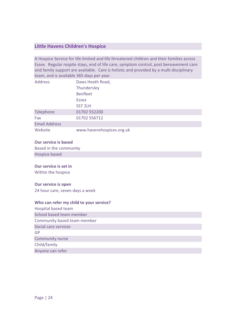# **Little Havens Children's Hospice**

A Hospice Service for life limited and life threatened children and their families across Essex. Regular respite stays, end of life care, symptom control, post bereavement care and family support are available. Care is holistic and provided by a multi disciplinary team, and is available 365 days per year.

| Address              | Daws Heath Road,          |
|----------------------|---------------------------|
|                      | Thundersley               |
|                      | <b>Benfleet</b>           |
|                      | <b>Essex</b>              |
|                      | SS7 2LH                   |
| Telephone            | 01702 552200              |
| Fax                  | 01702 556712              |
| <b>Email Address</b> |                           |
| Website              | www.havenshospices.org.uk |

#### **Our service is based**

Based in the community Hospice based

#### **Our service is set in**

Within the hospice

# **Our service is open**

24 hour care, seven days a week

| Hospital based team         |  |
|-----------------------------|--|
| School based team member    |  |
| Community based team member |  |
| Social care services        |  |
| GP                          |  |
| <b>Community nurse</b>      |  |
| Child/family                |  |
| Anyone can refer            |  |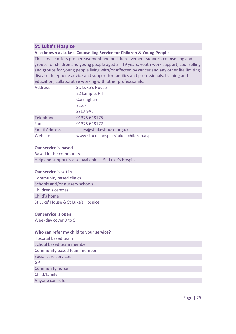# **St. Luke's Hospice**

**Also known as Luke's Counselling Service for Children & Young People** 

The service offers pre bereavement and post bereavement support, counselling and groups for children and young people aged 5 - 19 years, youth work support, counselling and groups for young people living with/or affected by cancer and any other life limiting disease, telephone advice and support for families and professionals, training and education, collaborative working with other professionals.

| <b>Address</b>       | St. Luke's House                      |
|----------------------|---------------------------------------|
|                      | 22 Lampits Hill                       |
|                      | Corringham                            |
|                      | <b>Essex</b>                          |
|                      | <b>SS17 9AL</b>                       |
| Telephone            | 01375 648175                          |
| Fax                  | 01375 648177                          |
| <b>Email Address</b> | Lukes@stlukeshouse.org.uk             |
| Website              | www.stlukeshospice/lukes-children.asp |

#### **Our service is based**

Based in the community Help and support is also available at St. Luke's Hospice.

# **Our service is set in**

Community based clinics Schools and/or nursery schools Children's centres Child's home St Luke' House & St Luke's Hospice

# **Our service is open**

Weekday cover 9 to 5

# **Who can refer my child to your service?**

Hospital based team School based team member Community based team member Social care services GP Community nurse

Child/family

Anyone can refer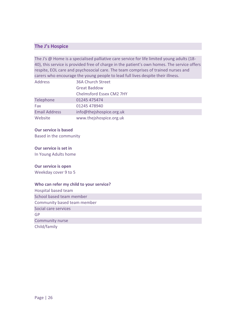# **The J's Hospice**

The J's @ Home is a specialised palliative care service for life limited young adults (18- 40), this service is provided free of charge in the patient's own homes. The service offers respite, EOL care and psychosocial care. The team comprises of trained nurses and carers who encourage the young people to lead full lives despite their illness.

| <b>Address</b>       | <b>36A Church Street</b>        |
|----------------------|---------------------------------|
|                      | <b>Great Baddow</b>             |
|                      | <b>Chelmsford Essex CM2 7HY</b> |
| Telephone            | 01245 475474                    |
| Fax                  | 01245 478940                    |
| <b>Email Address</b> | info@thejshospice.org.uk        |
| Website              | www.thejshospice.org.uk         |

# **Our service is based**

Based in the community

## **Our service is set in**

In Young Adults home

#### **Our service is open**

Weekday cover 9 to 5

#### **Who can refer my child to your service?**

Hospital based team School based team member Community based team member Social care services GP Community nurse Child/family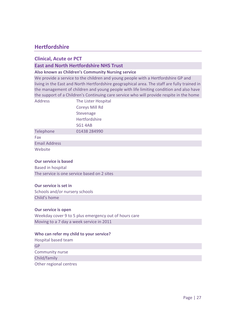# **Hertfordshire**

# **Clinical, Acute or PCT**

# **East and North Hertfordshire NHS Trust**

# **Also known as Children's Community Nursing service**

We provide a service to the children and young people with a Hertfordshire GP and living in the East and North Hertfordshire geographical area. The staff are fully trained in the management of children and young people with life limiting condition and also have the support of a Children's Continuing care service who will provide respite in the home

| <b>Address</b>       | The Lister Hospital   |
|----------------------|-----------------------|
|                      | <b>Coreys Mill Rd</b> |
|                      | Stevenage             |
|                      | Hertfordshire         |
|                      | SG14AB                |
| Telephone            | 01438 284990          |
| Fax                  |                       |
| <b>Email Address</b> |                       |
| Website              |                       |

#### **Our service is based**

Based in hospital The service is one service based on 2 sites

#### **Our service is set in**

Schools and/or nursery schools Child's home

#### **Our service is open**

Weekday cover 9 to 5 plus emergency out of hours care Moving to a 7 day a week service in 2011

#### **Who can refer my child to your service?**

Hospital based team GP Community nurse Child/family Other regional centres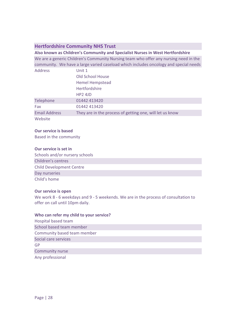# **Hertfordshire Community NHS Trust**

**Also known as Children's Community and Specialist Nurses in West Hertfordshire**  We are a generic Children's Community Nursing team who offer any nursing need in the community. We have a large varied caseload which includes oncology and special needs

| <b>Address</b>       | Unit 1                                                   |
|----------------------|----------------------------------------------------------|
|                      | Old School House                                         |
|                      | <b>Hemel Hempstead</b>                                   |
|                      | <b>Hertfordshire</b>                                     |
|                      | $HP2$ 4JD                                                |
| Telephone            | 01442 413420                                             |
| Fax                  | 01442 413420                                             |
| <b>Email Address</b> | They are in the process of getting one, will let us know |
| Website              |                                                          |

## **Our service is based**

Based in the community

## **Our service is set in**

Schools and/or nursery schools Children's centres Child Development Centre Day nurseries Child's home

#### **Our service is open**

We work 8 - 6 weekdays and 9 - 5 weekends. We are in the process of consultation to offer on call until 10pm daily.

| Hospital based team         |  |
|-----------------------------|--|
| School based team member    |  |
| Community based team member |  |
| Social care services        |  |
| GP                          |  |
| Community nurse             |  |
| Any professional            |  |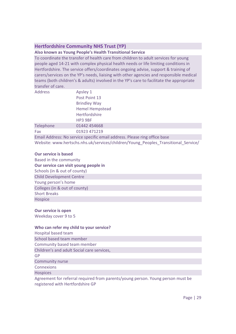# **Hertfordshire Community NHS Trust (YP)**

## **Also known as Young People's Health Transitional Service**

To coordinate the transfer of health care from children to adult services for young people aged 14-21 with complex physical health needs or life limiting conditions in Hertfordshire. The service offers/coordinates ongoing advise, support & training of carers/services on the YP's needs, liaising with other agencies and responsible medical teams (both children's & adults) involved in the YP's care to facilitate the appropriate transfer of care.

| <b>Address</b> | Apsley 1                                                                           |
|----------------|------------------------------------------------------------------------------------|
|                | Post Point 13                                                                      |
|                | <b>Brindley Way</b>                                                                |
|                | <b>Hemel Hempstead</b>                                                             |
|                | Hertfordshire                                                                      |
|                | HP3 9BF                                                                            |
| Telephone      | 01442 454668                                                                       |
| Fax            | 01923 471219                                                                       |
|                | Email Address: No service specific email address. Please ring office base          |
|                | Website: www.hertschs.nhs.uk/services/children/Young_Peoples_Transitional_Service/ |

#### **Our service is based**

Based in the community **Our service can visit young people in**  Schools (in & out of county) Child Development Centre Young person's home Colleges (in & out of county) Short Breaks **Hospice** 

#### **Our service is open**

Weekday cover 9 to 5

# **Who can refer my child to your service?**

Hospital based team School based team member Community based team member Children's and adult Social care services, GP Community nurse **Connexions Hospices** 

Agreement for referral required from parents/young person. Young person must be registered with Hertfordshire GP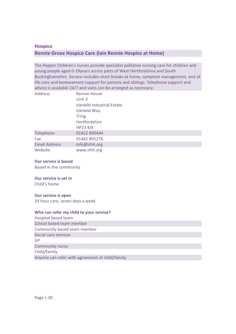# **Hospice Rennie Grove Hospice Care (Iain Rennie Hospice at Home)**

The Pepper Children's nurses provide specialist palliative nursing care for children and young people aged 0-19years across parts of West Hertfordshire and South Buckinghamshire. Service includes short breaks at home, symptom management, end of life care and bereavement support for parents and siblings. Telephone support and advice is available 24/7 and visits can be arranged as necessary.

| <b>Address</b>       | <b>Rennie House</b>               |
|----------------------|-----------------------------------|
|                      | Unit 3                            |
|                      | <b>Icknield Industrial Estate</b> |
|                      | Icknield Way                      |
|                      | <b>Tring</b>                      |
|                      | Hertfordshire                     |
|                      | $HP23$ 4JX                        |
| Telephone            | 01422 890444                      |
| Fax                  | 01442 891276                      |
| <b>Email Address</b> | info@irhh.org                     |
| Website              | www.irhh.org                      |

#### **Our service is based**

Based in the community

#### **Our service is set in**

Child's home

#### **Our service is open**

24 hour care, seven days a week

#### **Who can refer my child to your service?**

Hospital based team School based team member Community based team member Social care services GP Community nurse Child/family Anyone can refer with agreement of child/family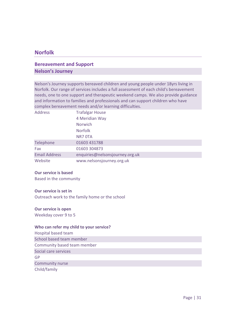# **Norfolk**

# **Bereavement and Support Nelson's Journey**

Nelson's Journey supports bereaved children and young people under 18yrs living in Norfolk. Our range of services includes a full assessment of each child's bereavement needs, one to one support and therapeutic weekend camps. We also provide guidance and information to families and professionals and can support children who have complex bereavement needs and/or learning difficulties.

| Address              | <b>Trafalgar House</b>          |
|----------------------|---------------------------------|
|                      | 4 Meridian Way                  |
|                      | Norwich                         |
|                      | <b>Norfolk</b>                  |
|                      | NR7 OTA                         |
| Telephone            | 01603 431788                    |
| Fax                  | 01603 304873                    |
| <b>Email Address</b> | enquiries@nelsonsjourney.org.uk |
| Website              | www.nelsonsjourney.org.uk       |

#### **Our service is based**

Based in the community

## **Our service is set in**

Outreach work to the family home or the school

#### **Our service is open**

Weekday cover 9 to 5

#### **Who can refer my child to your service?**

Hospital based team School based team member Community based team member Social care services GP Community nurse

Child/family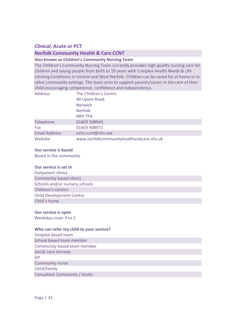# **Clinical, Acute or PCT**

# **Norfolk Community Health & Care CCNT**

**Also known as Children's Community Nursing Team** 

The Children's Community Nursing Team currently provides high quality nursing care for children and young people from birth to 19 years with Complex Health Needs & Life Limiting Conditions in Central and West Norfolk. Children can be cared for at home or in other community settings. The team aims to support parents/carers in the care of their child encouraging competence, confidence and independence.

| <b>Address</b>       | The Children's Centre                    |
|----------------------|------------------------------------------|
|                      | 40 Upton Road                            |
|                      | <b>Norwich</b>                           |
|                      | <b>Norfolk</b>                           |
|                      | NR4 7PA                                  |
| Telephone            | 01603 508943                             |
| Fax                  | 01603 508971                             |
| <b>Email Address</b> | nchc-ccnt@nhs.net                        |
| Website              | www.norfolkcommunityhealthandcare.nhs.uk |

#### **Our service is based**

Based in the community

#### **Our service is set in**

Outpatient clinics Community based clinics Schools and/or nursery schools Children's centres Child Development Centre Child's home

#### **Our service is open**

Weekday cover 9 to 5

## **Who can refer my child to your service?**

Hospital based team School based team member Community based team member Social care services GP Community nurse Child/family Consultant Community / Acute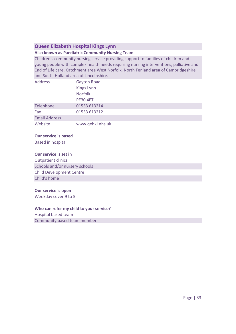# **Queen Elizabeth Hospital Kings Lynn**

## **Also known as Paediatric Community Nursing Team**

Children's community nursing service providing support to families of children and young people with complex health needs requiring nursing interventions, palliative and End of Life care. Catchment area West Norfolk, North Fenland area of Cambridgeshire and South Holland area of Lincolnshire.

| <b>Address</b>       | <b>Gayton Road</b> |
|----------------------|--------------------|
|                      | Kings Lynn         |
|                      | <b>Norfolk</b>     |
|                      | <b>PE30 4ET</b>    |
| Telephone            | 01553 613214       |
| Fax                  | 01553 613212       |
| <b>Email Address</b> |                    |
| Website              | www.qehkl.nhs.uk   |

# **Our service is based**

Based in hospital

# **Our service is set in**

Outpatient clinics Schools and/or nursery schools Child Development Centre Child's home

#### **Our service is open**

Weekday cover 9 to 5

#### **Who can refer my child to your service?**

Hospital based team

Community based team member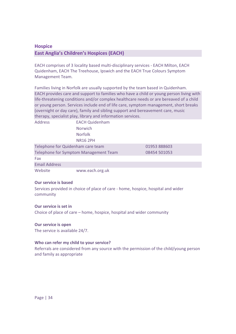# **Hospice East Anglia's Children's Hospices (EACH)**

EACH comprises of 3 locality based multi-disciplinary services - EACH Milton, EACH Quidenham, EACH The Treehouse, Ipswich and the EACH True Colours Symptom Management Team.

Families living in Norfolk are usually supported by the team based in Quidenham. EACH provides care and support to families who have a child or young person living with life-threatening conditions and/or complex healthcare needs or are bereaved of a child or young person. Services include end of life care, symptom management, short breaks (overnight or day care), family and sibling support and bereavement care, music therapy, specialist play, library and information services.

| <b>Address</b>                        | <b>EACH Quidenham</b> |              |  |
|---------------------------------------|-----------------------|--------------|--|
|                                       | <b>Norwich</b>        |              |  |
|                                       | <b>Norfolk</b>        |              |  |
|                                       | <b>NR16 2PH</b>       |              |  |
| Telephone for Quidenham care team     |                       | 01953 888603 |  |
| Telephone for Symptom Management Team |                       | 08454 501053 |  |
| Fax                                   |                       |              |  |
| <b>Email Address</b>                  |                       |              |  |
| Website                               | www.each.org.uk       |              |  |

#### **Our service is based**

Services provided in choice of place of care - home, hospice, hospital and wider community

# **Our service is set in**

Choice of place of care – home, hospice, hospital and wider community

# **Our service is open**

The service is available 24/7.

# **Who can refer my child to your service?**

Referrals are considered from any source with the permission of the child/young person and family as appropriate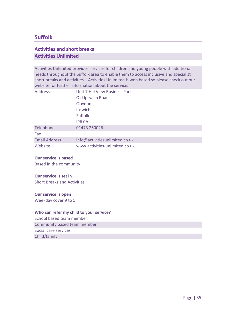# **Suffolk**

# **Activities and short breaks Activities Unlimited**

Activities Unlimited provides services for children and young people with additional needs throughout the Suffolk area to enable them to access inclusive and specialist short breaks and activities. Activities Unlimited is web based so please check out our website for further information about the service.

| <b>Address</b>       | Unit 7 Hill View Business Park |
|----------------------|--------------------------------|
|                      | Old Ipswich Road               |
|                      | Claydon                        |
|                      | Ipswich                        |
|                      | <b>Suffolk</b>                 |
|                      | IP6 OAJ                        |
| Telephone            | 01473 260026                   |
| Fax                  |                                |
| <b>Email Address</b> | info@activitiesunlimited.co.uk |
| Website              | www.activities-unlimited.co.uk |

#### **Our service is based**

Based in the community

# **Our service is set in**

Short Breaks and Activities

# **Our service is open**

Weekday cover 9 to 5

# **Who can refer my child to your service?**

School based team member Community based team member

Social care services

Child/family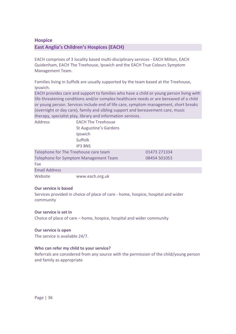# **Hospice**

# **East Anglia's Children's Hospices (EACH)**

EACH comprises of 3 locality based multi-disciplinary services - EACH Milton, EACH Quidenham, EACH The Treehouse, Ipswich and the EACH True Colours Symptom Management Team.

Families living in Suffolk are usually supported by the team based at the Treehouse, Ipswich.

EACH provides care and support to families who have a child or young person living with life-threatening conditions and/or complex healthcare needs or are bereaved of a child or young person. Services include end of life care, symptom management, short breaks (overnight or day care), family and sibling support and bereavement care, music therapy, specialist play, library and information services.

| <b>Address</b>                        | <b>EACH The Treehouse</b>             |              |
|---------------------------------------|---------------------------------------|--------------|
|                                       | St Augustine's Gardens                |              |
|                                       | Ipswich                               |              |
|                                       | <b>Suffolk</b>                        |              |
|                                       | <b>IP3 8NS</b>                        |              |
| Telephone for The Treehouse care team |                                       | 01473 271334 |
|                                       | Telephone for Symptom Management Team | 08454 501053 |
| Fax                                   |                                       |              |
| <b>Email Address</b>                  |                                       |              |
| Website                               | www.each.org.uk                       |              |

#### **Our service is based**

Services provided in choice of place of care - home, hospice, hospital and wider community

## **Our service is set in**

Choice of place of care – home, hospice, hospital and wider community

#### **Our service is open**

The service is available 24/7.

#### **Who can refer my child to your service?**

Referrals are considered from any source with the permission of the child/young person and family as appropriate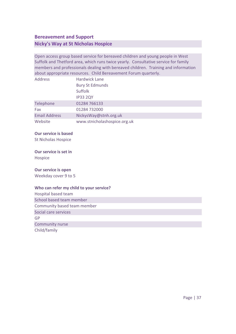# **Bereavement and Support Nicky's Way at St Nicholas Hospice**

Open access group based service for bereaved children and young people in West Suffolk and Thetford area, which runs twice yearly. Consultative service for family members and professionals dealing with bereaved children. Training and information about appropriate resources. Child Bereavement Forum quarterly.

| <b>Address</b>       | <b>Hardwick Lane</b>         |
|----------------------|------------------------------|
|                      | <b>Bury St Edmunds</b>       |
|                      | <b>Suffolk</b>               |
|                      | <b>IP33 2QY</b>              |
| Telephone            | 01284 766133                 |
| Fax                  | 01284 732000                 |
| <b>Email Address</b> | NickysWay@stnh.org.uk        |
| Website              | www.stnicholashospice.org.uk |

# **Our service is based**

St Nicholas Hospice

## **Our service is set in**

Hospice

#### **Our service is open**

Weekday cover 9 to 5

| Hospital based team         |
|-----------------------------|
| School based team member    |
| Community based team member |
| Social care services        |
| GP                          |
| Community nurse             |
| Child/family                |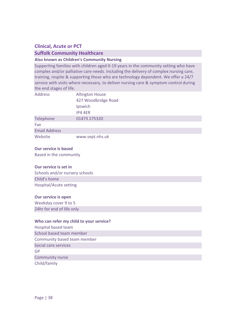# **Clinical, Acute or PCT**

# **Suffolk Community Healthcare**

# **Also known as Children's Community Nursing**

Supporting families with children aged 0-19 years in the community setting who have complex and/or palliative care needs. Including the delivery of complex nursing care, training, respite & supporting those who are technology dependent. We offer a 24/7 service with visits where necessary, to deliver nursing care & symptom control during the end stages of life.

| <b>Address</b>       | <b>Allington House</b> |
|----------------------|------------------------|
|                      | 427 Woodbridge Road    |
|                      | Ipswich                |
|                      | IP4 4ER                |
| Telephone            | 01473 275320           |
| Fax                  |                        |
| <b>Email Address</b> |                        |
| Website              | www.sept.nhs.uk        |

#### **Our service is based**

Based in the community

#### **Our service is set in**

Schools and/or nursery schools Child's home Hospital/Acute setting

#### **Our service is open**

Weekday cover 9 to 5 24hr for end of life only

| Hospital based team         |  |
|-----------------------------|--|
| School based team member    |  |
| Community based team member |  |
| Social care services        |  |
| GP                          |  |
| <b>Community nurse</b>      |  |
| Child/family                |  |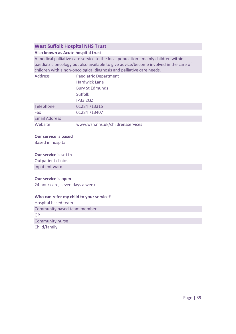# **West Suffolk Hospital NHS Trust**

# **Also known as Acute hospital trust**

A medical palliative care service to the local population - mainly children within paediatric oncology but also available to give advice/become involved in the care of children with a non-oncological diagnosis and palliative care needs.

| <b>Address</b>       | <b>Paediatric Department</b>     |
|----------------------|----------------------------------|
|                      | <b>Hardwick Lane</b>             |
|                      | <b>Bury St Edmunds</b>           |
|                      | <b>Suffolk</b>                   |
|                      | <b>IP33 2QZ</b>                  |
| Telephone            | 01284 713315                     |
| Fax                  | 01284 713407                     |
| <b>Email Address</b> |                                  |
| Website              | www.wsh.nhs.uk/childrensservices |

## **Our service is based**

Based in hospital

#### **Our service is set in**

Outpatient clinics

Inpatient ward

#### **Our service is open**

24 hour care, seven days a week

#### **Who can refer my child to your service?**

Hospital based team Community based team member GP Community nurse

Child/family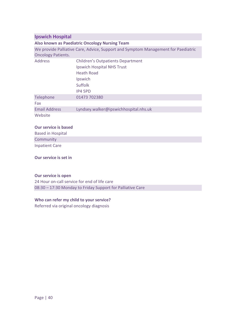# **Ipswich Hospital**

## **Also known as Paediatric Oncology Nursing Team**

We provide Palliative Care, Advice, Support and Symptom Management for Paediatric Oncology Patients.

| <b>Address</b>       | <b>Children's Outpatients Department</b> |
|----------------------|------------------------------------------|
|                      | Ipswich Hospital NHS Trust               |
|                      | <b>Heath Road</b>                        |
|                      | Ipswich                                  |
|                      | Suffolk                                  |
|                      | IP4 5PD                                  |
| Telephone            | 01473 702380                             |
| Fax                  |                                          |
| <b>Email Address</b> | Lyndsey.walker@ipswichhospital.nhs.uk    |
| Website              |                                          |

## **Our service is based**

| <b>Based in Hospital</b> |  |
|--------------------------|--|
| Community                |  |
| <b>Inpatient Care</b>    |  |

## **Our service is set in**

## **Our service is open**

24 Hour on-call service for end of life care 08:30 – 17:30 Monday to Friday Support for Palliative Care

# **Who can refer my child to your service?**

Referred via original oncology diagnosis